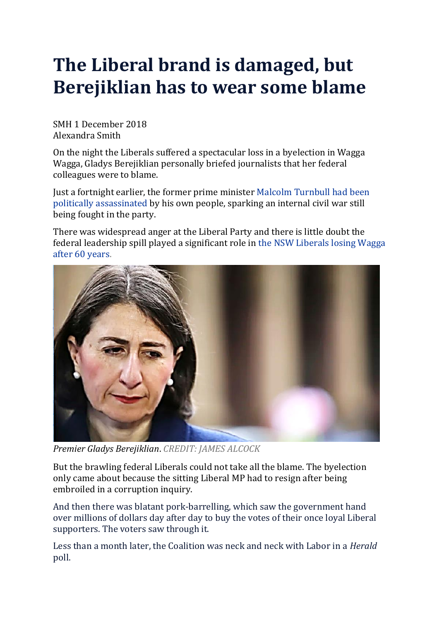## **The Liberal brand is damaged, but Berejiklian has to wear some blame**

SMH 1 December 2018 Alexandra Smith

On the night the Liberals suffered a spectacular loss in a byelection in Wagga Wagga, Gladys Berejiklian personally briefed journalists that her federal colleagues were to blame.

Just a fortnight earlier, the former prime minister Malcolm [Turnbull](https://www.smh.com.au/link/follow-20170101-p4zzjz) had been politically [assassinated](https://www.smh.com.au/link/follow-20170101-p4zzjz) by his own people, sparking an internal civil war still being fought in the party.

There was widespread anger at the Liberal Party and there is little doubt the federal leadership spill played a significant role in the NSW [Liberals](https://www.smh.com.au/link/follow-20170101-p502kz) losing Wagga after 60 [years.](https://www.smh.com.au/link/follow-20170101-p502kz)



*Premier Gladys Berejiklian*. *CREDIT: JAMES ALCOCK*

But the brawling federal Liberals could not take all the blame. The byelection only came about because the sitting Liberal MP had to resign after being embroiled in a corruption inquiry.

And then there was blatant pork-barrelling, which saw the government hand over millions of dollars day after day to buy the votes of their once loyal Liberal supporters. The voters saw through it.

Less than a month later, the Coalition was neck and neck with Labor in a *Herald* poll.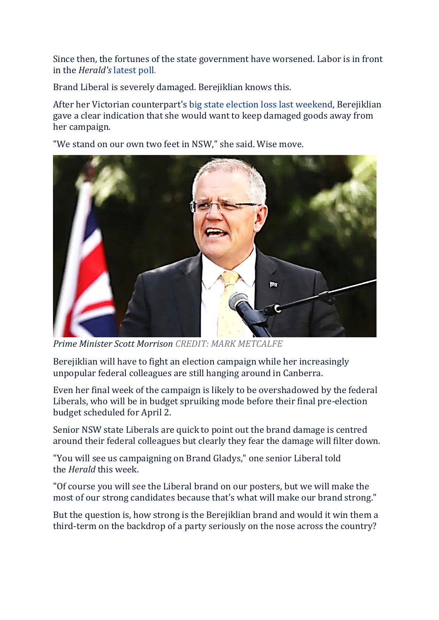Since then, the fortunes of the state government have worsened. Labor is in front in the *Herald's* [latest](https://www.smh.com.au/link/follow-20170101-p50jey) poll.

Brand Liberal is severely damaged. Berejiklian knows this.

After her Victorian counterpart's big state election loss last [weekend,](https://www.smh.com.au/link/follow-20170101-p50i5d) Berejiklian gave a clear indication that she would want to keep damaged goods away from her campaign.

"We stand on our own two feet in NSW," she said. Wise move.



*Prime Minister Scott Morrison CREDIT: MARK METCALFE*

Berejiklian will have to fight an election campaign while her increasingly unpopular federal colleagues are still hanging around in Canberra.

Even her final week of the campaign is likely to be overshadowed by the federal Liberals, who will be in budget spruiking mode before their final pre-election budget scheduled for April 2.

Senior NSW state Liberals are quick to point out the brand damage is centred around their federal colleagues but clearly they fear the damage will filter down.

"You will see us campaigning on Brand Gladys," one senior Liberal told the *Herald* this week.

"Of course you will see the Liberal brand on our posters, but we will make the most of our strong candidates because that's what will make our brand strong."

But the question is, how strong is the Berejiklian brand and would it win them a third-term on the backdrop of a party seriously on the nose across the country?